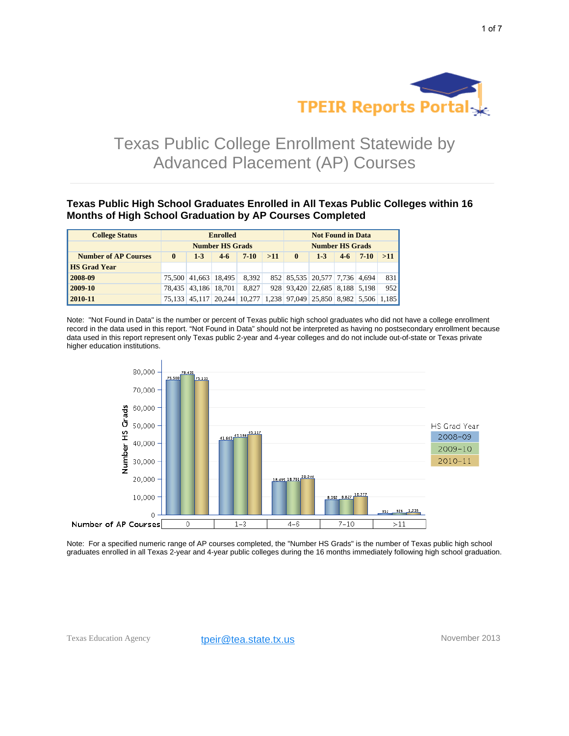

# Texas Public College Enrollment Statewide by Advanced Placement (AP) Courses

**Texas Public High School Graduates Enrolled in All Texas Public Colleges within 16 Months of High School Graduation by AP Courses Completed**

| <b>College Status</b>       | <b>Enrolled</b>        |       |                      |                                                                   | <b>Not Found in Data</b> |              |                               |       |          |     |
|-----------------------------|------------------------|-------|----------------------|-------------------------------------------------------------------|--------------------------|--------------|-------------------------------|-------|----------|-----|
|                             | <b>Number HS Grads</b> |       |                      |                                                                   | <b>Number HS Grads</b>   |              |                               |       |          |     |
| <b>Number of AP Courses</b> | $\bf{0}$               | $1-3$ | $4-6$                | $7-10$                                                            | >11                      | $\mathbf{0}$ | $1-3$                         | $4-6$ | $7 - 10$ | >11 |
| <b>HS Grad Year</b>         |                        |       |                      |                                                                   |                          |              |                               |       |          |     |
| 2008-09                     |                        |       | 75.500 41.663 18.495 | 8.392                                                             |                          |              | 852 85,535 20,577 7,736 4,694 |       |          | 831 |
| 2009-10                     |                        |       | 78.435 43.186 18.701 | 8.827                                                             |                          |              | 928 93,420 22,685 8,188 5,198 |       |          | 952 |
| 2010-11                     |                        |       |                      | 75,133 45,117 20,244 10,277 1,238 97,049 25,850 8,982 5,506 1,185 |                          |              |                               |       |          |     |

Note: "Not Found in Data" is the number or percent of Texas public high school graduates who did not have a college enrollment record in the data used in this report. "Not Found in Data" should not be interpreted as having no postsecondary enrollment because data used in this report represent only Texas public 2-year and 4-year colleges and do not include out-of-state or Texas private higher education institutions.



Note: For a specified numeric range of AP courses completed, the "Number HS Grads" is the number of Texas public high school graduates enrolled in all Texas 2-year and 4-year public colleges during the 16 months immediately following high school graduation.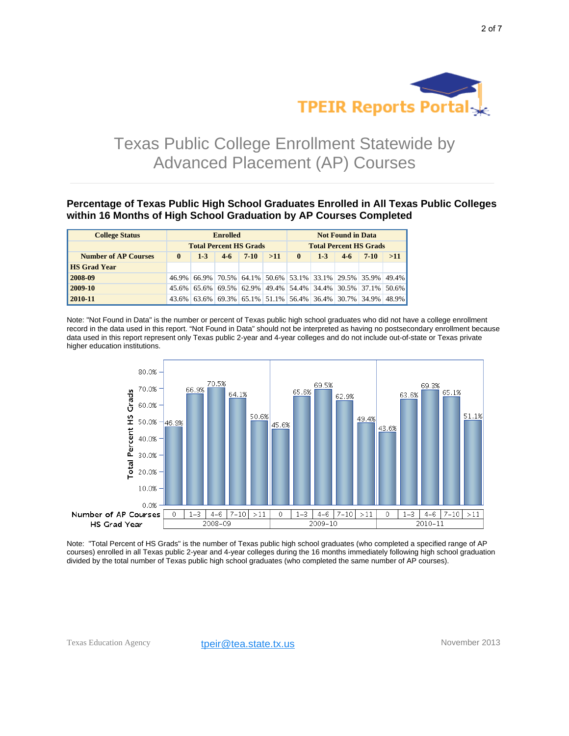

# Texas Public College Enrollment Statewide by Advanced Placement (AP) Courses

**Percentage of Texas Public High School Graduates Enrolled in All Texas Public Colleges within 16 Months of High School Graduation by AP Courses Completed**

| <b>College Status</b>       | <b>Enrolled</b>               |                                                             |       |        | <b>Not Found in Data</b>      |              |       |       |        |     |
|-----------------------------|-------------------------------|-------------------------------------------------------------|-------|--------|-------------------------------|--------------|-------|-------|--------|-----|
|                             | <b>Total Percent HS Grads</b> |                                                             |       |        | <b>Total Percent HS Grads</b> |              |       |       |        |     |
| <b>Number of AP Courses</b> | $\mathbf{0}$                  | $1-3$                                                       | $4-6$ | $7-10$ | >11                           | $\mathbf{0}$ | $1-3$ | $4-6$ | $7-10$ | >11 |
| <b>HS Grad Year</b>         |                               |                                                             |       |        |                               |              |       |       |        |     |
| 2008-09                     |                               | 46.9% 66.9% 70.5% 64.1% 50.6% 53.1% 33.1% 29.5% 35.9% 49.4% |       |        |                               |              |       |       |        |     |
| 2009-10                     |                               | 45.6% 65.6% 69.5% 62.9% 49.4% 54.4% 34.4% 30.5% 37.1% 50.6% |       |        |                               |              |       |       |        |     |
| 2010-11                     |                               | 43.6% 63.6% 69.3% 65.1% 51.1% 56.4% 36.4% 30.7% 34.9% 48.9% |       |        |                               |              |       |       |        |     |

Note: "Not Found in Data" is the number or percent of Texas public high school graduates who did not have a college enrollment record in the data used in this report. "Not Found in Data" should not be interpreted as having no postsecondary enrollment because data used in this report represent only Texas public 2-year and 4-year colleges and do not include out-of-state or Texas private higher education institutions.



Note: "Total Percent of HS Grads" is the number of Texas public high school graduates (who completed a specified range of AP courses) enrolled in all Texas public 2-year and 4-year colleges during the 16 months immediately following high school graduation divided by the total number of Texas public high school graduates (who completed the same number of AP courses).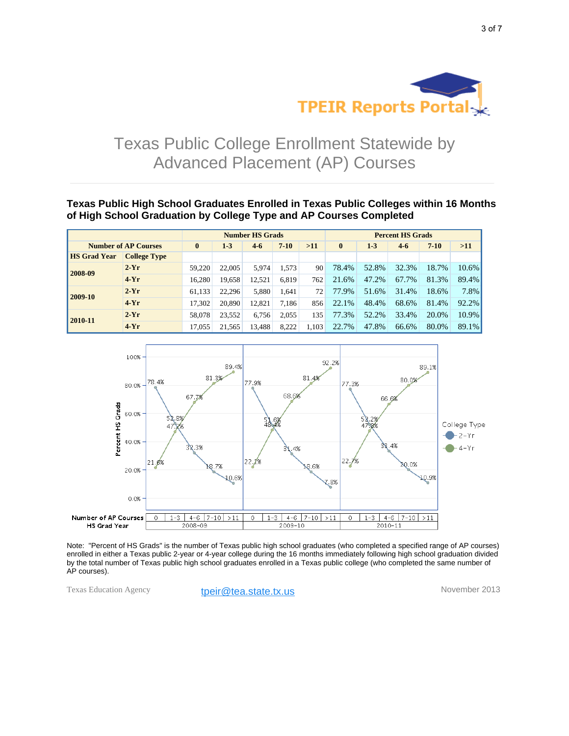

## Texas Public College Enrollment Statewide by Advanced Placement (AP) Courses

**Texas Public High School Graduates Enrolled in Texas Public Colleges within 16 Months of High School Graduation by College Type and AP Courses Completed**

|                             |                     | <b>Number HS Grads</b> |         |          |       |              | <b>Percent HS Grads</b> |       |          |       |       |  |
|-----------------------------|---------------------|------------------------|---------|----------|-------|--------------|-------------------------|-------|----------|-------|-------|--|
| <b>Number of AP Courses</b> | $\mathbf{0}$        | $1-3$                  | $4 - 6$ | $7 - 10$ | >11   | $\mathbf{0}$ | $1-3$                   | $4-6$ | $7 - 10$ | >11   |       |  |
| <b>HS Grad Year</b>         | <b>College Type</b> |                        |         |          |       |              |                         |       |          |       |       |  |
| 2008-09                     | $2-Yr$              | 59.220                 | 22,005  | 5,974    | 1.573 | 90           | 78.4%                   | 52.8% | 32.3%    | 18.7% | 10.6% |  |
|                             | $4-Yr$              | 16.280                 | 19,658  | 12,521   | 6.819 | 762          | 21.6%                   | 47.2% | 67.7%    | 81.3% | 89.4% |  |
| 2009-10                     | $2-Yr$              | 61,133                 | 22.296  | 5.880    | 1.641 | 72           | 77.9%                   | 51.6% | 31.4%    | 18.6% | 7.8%  |  |
|                             | $4-Yr$              | 17,302                 | 20,890  | 12,821   | 7.186 | 856          | 22.1%                   | 48.4% | 68.6%    | 81.4% | 92.2% |  |
| 2010-11                     | $2-Yr$              | 58,078                 | 23.552  | 6.756    | 2.055 | 135          | 77.3%                   | 52.2% | 33.4%    | 20.0% | 10.9% |  |
|                             | $4-Yr$              | 17,055                 | 21,565  | 13,488   | 8.222 | 1.103        | 22.7%                   | 47.8% | 66.6%    | 80.0% | 89.1% |  |



Note: "Percent of HS Grads" is the number of Texas public high school graduates (who completed a specified range of AP courses) enrolled in either a Texas public 2-year or 4-year college during the 16 months immediately following high school graduation divided by the total number of Texas public high school graduates enrolled in a Texas public college (who completed the same number of AP courses).

Texas Education Agency **tpeir@tea.state.tx.us** November 2013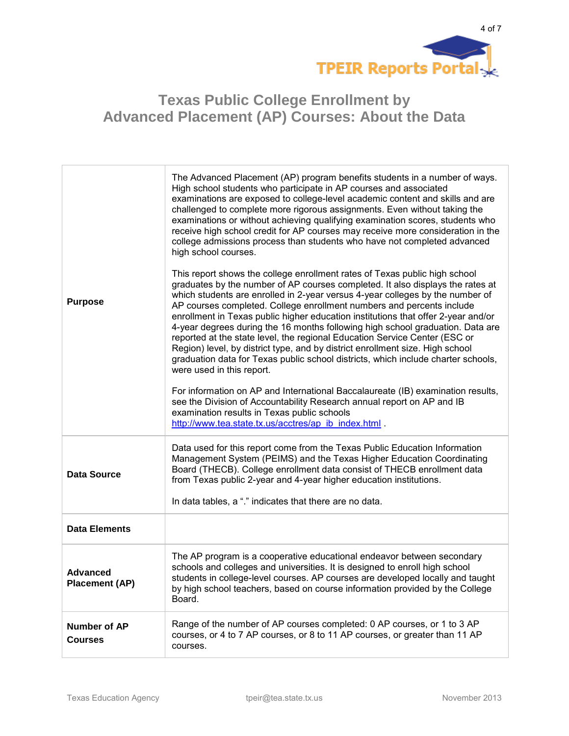

| <b>Purpose</b>                           | The Advanced Placement (AP) program benefits students in a number of ways.<br>High school students who participate in AP courses and associated<br>examinations are exposed to college-level academic content and skills and are<br>challenged to complete more rigorous assignments. Even without taking the<br>examinations or without achieving qualifying examination scores, students who<br>receive high school credit for AP courses may receive more consideration in the<br>college admissions process than students who have not completed advanced<br>high school courses.<br>This report shows the college enrollment rates of Texas public high school<br>graduates by the number of AP courses completed. It also displays the rates at<br>which students are enrolled in 2-year versus 4-year colleges by the number of<br>AP courses completed. College enrollment numbers and percents include<br>enrollment in Texas public higher education institutions that offer 2-year and/or<br>4-year degrees during the 16 months following high school graduation. Data are<br>reported at the state level, the regional Education Service Center (ESC or<br>Region) level, by district type, and by district enrollment size. High school<br>graduation data for Texas public school districts, which include charter schools,<br>were used in this report.<br>For information on AP and International Baccalaureate (IB) examination results,<br>see the Division of Accountability Research annual report on AP and IB<br>examination results in Texas public schools<br>http://www.tea.state.tx.us/acctres/ap ib index.html . |
|------------------------------------------|----------------------------------------------------------------------------------------------------------------------------------------------------------------------------------------------------------------------------------------------------------------------------------------------------------------------------------------------------------------------------------------------------------------------------------------------------------------------------------------------------------------------------------------------------------------------------------------------------------------------------------------------------------------------------------------------------------------------------------------------------------------------------------------------------------------------------------------------------------------------------------------------------------------------------------------------------------------------------------------------------------------------------------------------------------------------------------------------------------------------------------------------------------------------------------------------------------------------------------------------------------------------------------------------------------------------------------------------------------------------------------------------------------------------------------------------------------------------------------------------------------------------------------------------------------------------------------------------------------------------------------------------|
| <b>Data Source</b>                       | Data used for this report come from the Texas Public Education Information<br>Management System (PEIMS) and the Texas Higher Education Coordinating<br>Board (THECB). College enrollment data consist of THECB enrollment data<br>from Texas public 2-year and 4-year higher education institutions.<br>In data tables, a "." indicates that there are no data.                                                                                                                                                                                                                                                                                                                                                                                                                                                                                                                                                                                                                                                                                                                                                                                                                                                                                                                                                                                                                                                                                                                                                                                                                                                                              |
| <b>Data Elements</b>                     |                                                                                                                                                                                                                                                                                                                                                                                                                                                                                                                                                                                                                                                                                                                                                                                                                                                                                                                                                                                                                                                                                                                                                                                                                                                                                                                                                                                                                                                                                                                                                                                                                                              |
| <b>Advanced</b><br><b>Placement (AP)</b> | The AP program is a cooperative educational endeavor between secondary<br>schools and colleges and universities. It is designed to enroll high school<br>students in college-level courses. AP courses are developed locally and taught<br>by high school teachers, based on course information provided by the College<br>Board.                                                                                                                                                                                                                                                                                                                                                                                                                                                                                                                                                                                                                                                                                                                                                                                                                                                                                                                                                                                                                                                                                                                                                                                                                                                                                                            |
| Number of AP<br><b>Courses</b>           | Range of the number of AP courses completed: 0 AP courses, or 1 to 3 AP<br>courses, or 4 to 7 AP courses, or 8 to 11 AP courses, or greater than 11 AP<br>courses.                                                                                                                                                                                                                                                                                                                                                                                                                                                                                                                                                                                                                                                                                                                                                                                                                                                                                                                                                                                                                                                                                                                                                                                                                                                                                                                                                                                                                                                                           |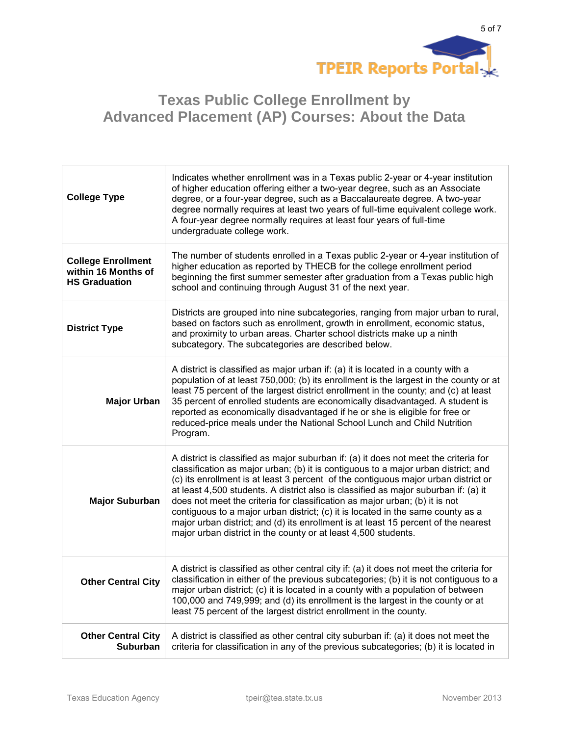

| <b>College Type</b>                                                      | Indicates whether enrollment was in a Texas public 2-year or 4-year institution<br>of higher education offering either a two-year degree, such as an Associate<br>degree, or a four-year degree, such as a Baccalaureate degree. A two-year<br>degree normally requires at least two years of full-time equivalent college work.<br>A four-year degree normally requires at least four years of full-time<br>undergraduate college work.                                                                                                                                                                                                                                          |
|--------------------------------------------------------------------------|-----------------------------------------------------------------------------------------------------------------------------------------------------------------------------------------------------------------------------------------------------------------------------------------------------------------------------------------------------------------------------------------------------------------------------------------------------------------------------------------------------------------------------------------------------------------------------------------------------------------------------------------------------------------------------------|
| <b>College Enrollment</b><br>within 16 Months of<br><b>HS Graduation</b> | The number of students enrolled in a Texas public 2-year or 4-year institution of<br>higher education as reported by THECB for the college enrollment period<br>beginning the first summer semester after graduation from a Texas public high<br>school and continuing through August 31 of the next year.                                                                                                                                                                                                                                                                                                                                                                        |
| <b>District Type</b>                                                     | Districts are grouped into nine subcategories, ranging from major urban to rural,<br>based on factors such as enrollment, growth in enrollment, economic status,<br>and proximity to urban areas. Charter school districts make up a ninth<br>subcategory. The subcategories are described below.                                                                                                                                                                                                                                                                                                                                                                                 |
| <b>Major Urban</b>                                                       | A district is classified as major urban if: (a) it is located in a county with a<br>population of at least 750,000; (b) its enrollment is the largest in the county or at<br>least 75 percent of the largest district enrollment in the county; and (c) at least<br>35 percent of enrolled students are economically disadvantaged. A student is<br>reported as economically disadvantaged if he or she is eligible for free or<br>reduced-price meals under the National School Lunch and Child Nutrition<br>Program.                                                                                                                                                            |
| <b>Major Suburban</b>                                                    | A district is classified as major suburban if: (a) it does not meet the criteria for<br>classification as major urban; (b) it is contiguous to a major urban district; and<br>(c) its enrollment is at least 3 percent of the contiguous major urban district or<br>at least 4,500 students. A district also is classified as major suburban if: (a) it<br>does not meet the criteria for classification as major urban; (b) it is not<br>contiguous to a major urban district; (c) it is located in the same county as a<br>major urban district; and (d) its enrollment is at least 15 percent of the nearest<br>major urban district in the county or at least 4,500 students. |
| <b>Other Central City</b>                                                | A district is classified as other central city if: (a) it does not meet the criteria for<br>classification in either of the previous subcategories; (b) it is not contiguous to a<br>major urban district; (c) it is located in a county with a population of between<br>100,000 and 749,999; and (d) its enrollment is the largest in the county or at<br>least 75 percent of the largest district enrollment in the county.                                                                                                                                                                                                                                                     |
| <b>Other Central City</b><br><b>Suburban</b>                             | A district is classified as other central city suburban if: (a) it does not meet the<br>criteria for classification in any of the previous subcategories; (b) it is located in                                                                                                                                                                                                                                                                                                                                                                                                                                                                                                    |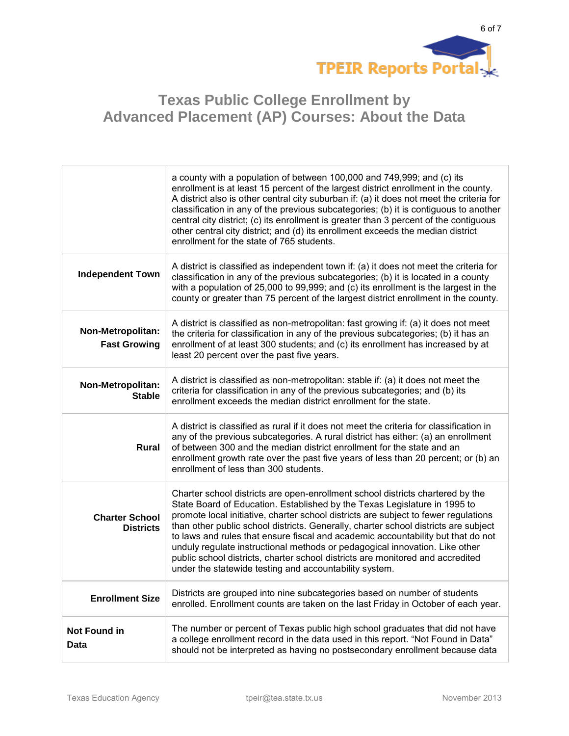

|                                           | a county with a population of between 100,000 and 749,999; and (c) its<br>enrollment is at least 15 percent of the largest district enrollment in the county.<br>A district also is other central city suburban if: (a) it does not meet the criteria for<br>classification in any of the previous subcategories; (b) it is contiguous to another<br>central city district; (c) its enrollment is greater than 3 percent of the contiguous<br>other central city district; and (d) its enrollment exceeds the median district<br>enrollment for the state of 765 students.                                                                               |
|-------------------------------------------|----------------------------------------------------------------------------------------------------------------------------------------------------------------------------------------------------------------------------------------------------------------------------------------------------------------------------------------------------------------------------------------------------------------------------------------------------------------------------------------------------------------------------------------------------------------------------------------------------------------------------------------------------------|
| <b>Independent Town</b>                   | A district is classified as independent town if: (a) it does not meet the criteria for<br>classification in any of the previous subcategories; (b) it is located in a county<br>with a population of 25,000 to 99,999; and (c) its enrollment is the largest in the<br>county or greater than 75 percent of the largest district enrollment in the county.                                                                                                                                                                                                                                                                                               |
| Non-Metropolitan:<br><b>Fast Growing</b>  | A district is classified as non-metropolitan: fast growing if: (a) it does not meet<br>the criteria for classification in any of the previous subcategories; (b) it has an<br>enrollment of at least 300 students; and (c) its enrollment has increased by at<br>least 20 percent over the past five years.                                                                                                                                                                                                                                                                                                                                              |
| Non-Metropolitan:<br><b>Stable</b>        | A district is classified as non-metropolitan: stable if: (a) it does not meet the<br>criteria for classification in any of the previous subcategories; and (b) its<br>enrollment exceeds the median district enrollment for the state.                                                                                                                                                                                                                                                                                                                                                                                                                   |
| <b>Rural</b>                              | A district is classified as rural if it does not meet the criteria for classification in<br>any of the previous subcategories. A rural district has either: (a) an enrollment<br>of between 300 and the median district enrollment for the state and an<br>enrollment growth rate over the past five years of less than 20 percent; or (b) an<br>enrollment of less than 300 students.                                                                                                                                                                                                                                                                   |
| <b>Charter School</b><br><b>Districts</b> | Charter school districts are open-enrollment school districts chartered by the<br>State Board of Education. Established by the Texas Legislature in 1995 to<br>promote local initiative, charter school districts are subject to fewer regulations<br>than other public school districts. Generally, charter school districts are subject<br>to laws and rules that ensure fiscal and academic accountability but that do not<br>unduly regulate instructional methods or pedagogical innovation. Like other<br>public school districts, charter school districts are monitored and accredited<br>under the statewide testing and accountability system. |
| <b>Enrollment Size</b>                    | Districts are grouped into nine subcategories based on number of students<br>enrolled. Enrollment counts are taken on the last Friday in October of each year.                                                                                                                                                                                                                                                                                                                                                                                                                                                                                           |
| <b>Not Found in</b><br>Data               | The number or percent of Texas public high school graduates that did not have<br>a college enrollment record in the data used in this report. "Not Found in Data"<br>should not be interpreted as having no postsecondary enrollment because data                                                                                                                                                                                                                                                                                                                                                                                                        |